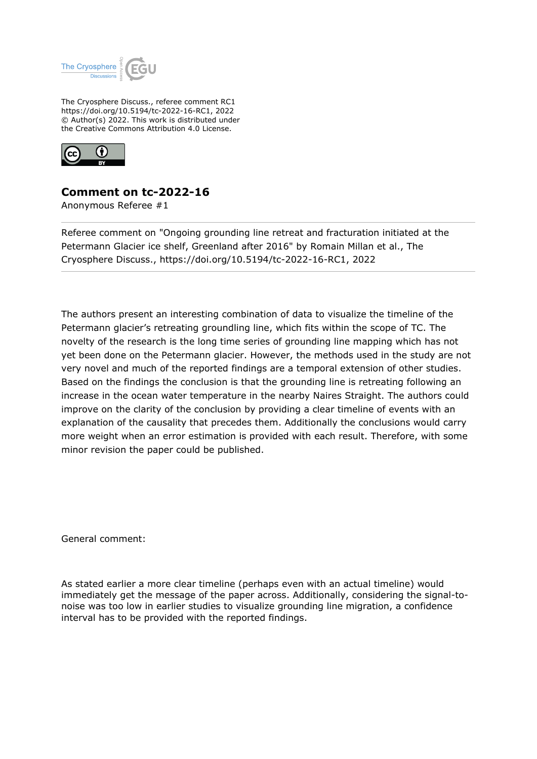

The Cryosphere Discuss., referee comment RC1 https://doi.org/10.5194/tc-2022-16-RC1, 2022 © Author(s) 2022. This work is distributed under the Creative Commons Attribution 4.0 License.



## **Comment on tc-2022-16**

Anonymous Referee #1

Referee comment on "Ongoing grounding line retreat and fracturation initiated at the Petermann Glacier ice shelf, Greenland after 2016" by Romain Millan et al., The Cryosphere Discuss., https://doi.org/10.5194/tc-2022-16-RC1, 2022

The authors present an interesting combination of data to visualize the timeline of the Petermann glacier's retreating groundling line, which fits within the scope of TC. The novelty of the research is the long time series of grounding line mapping which has not yet been done on the Petermann glacier. However, the methods used in the study are not very novel and much of the reported findings are a temporal extension of other studies. Based on the findings the conclusion is that the grounding line is retreating following an increase in the ocean water temperature in the nearby Naires Straight. The authors could improve on the clarity of the conclusion by providing a clear timeline of events with an explanation of the causality that precedes them. Additionally the conclusions would carry more weight when an error estimation is provided with each result. Therefore, with some minor revision the paper could be published.

General comment:

As stated earlier a more clear timeline (perhaps even with an actual timeline) would immediately get the message of the paper across. Additionally, considering the signal-tonoise was too low in earlier studies to visualize grounding line migration, a confidence interval has to be provided with the reported findings.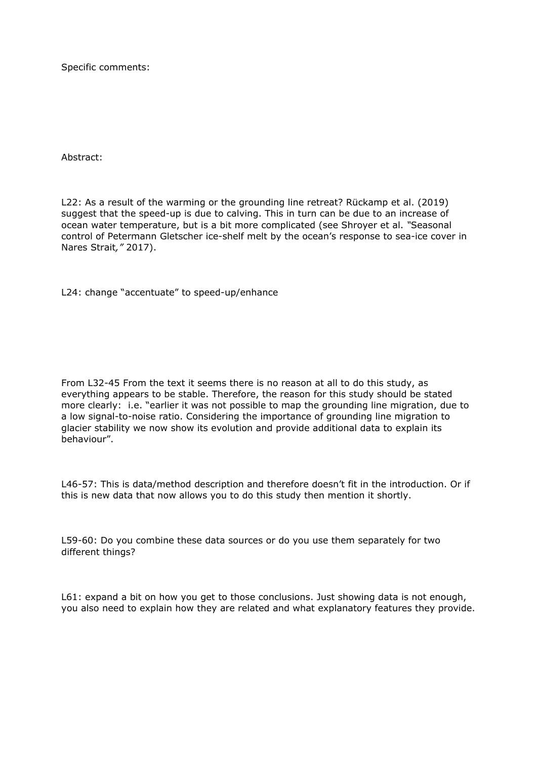Specific comments:

Abstract:

L22: As a result of the warming or the grounding line retreat? Rückamp et al. (2019) suggest that the speed-up is due to calving. This in turn can be due to an increase of ocean water temperature, but is a bit more complicated (see Shroyer et al. *"*Seasonal control of Petermann Gletscher ice-shelf melt by the ocean's response to sea-ice cover in Nares Strait*,"* 2017).

L24: change "accentuate" to speed-up/enhance

From L32-45 From the text it seems there is no reason at all to do this study, as everything appears to be stable. Therefore, the reason for this study should be stated more clearly: i.e. "earlier it was not possible to map the grounding line migration, due to a low signal-to-noise ratio. Considering the importance of grounding line migration to glacier stability we now show its evolution and provide additional data to explain its behaviour".

L46-57: This is data/method description and therefore doesn't fit in the introduction. Or if this is new data that now allows you to do this study then mention it shortly.

L59-60: Do you combine these data sources or do you use them separately for two different things?

L61: expand a bit on how you get to those conclusions. Just showing data is not enough, you also need to explain how they are related and what explanatory features they provide.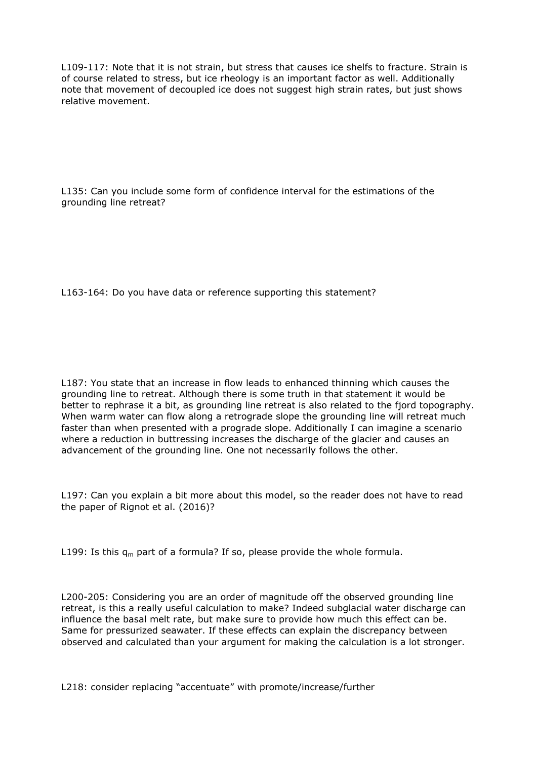L109-117: Note that it is not strain, but stress that causes ice shelfs to fracture. Strain is of course related to stress, but ice rheology is an important factor as well. Additionally note that movement of decoupled ice does not suggest high strain rates, but just shows relative movement.

L135: Can you include some form of confidence interval for the estimations of the grounding line retreat?

L163-164: Do you have data or reference supporting this statement?

L187: You state that an increase in flow leads to enhanced thinning which causes the grounding line to retreat. Although there is some truth in that statement it would be better to rephrase it a bit, as grounding line retreat is also related to the fjord topography. When warm water can flow along a retrograde slope the grounding line will retreat much faster than when presented with a prograde slope. Additionally I can imagine a scenario where a reduction in buttressing increases the discharge of the glacier and causes an advancement of the grounding line. One not necessarily follows the other.

L197: Can you explain a bit more about this model, so the reader does not have to read the paper of Rignot et al. (2016)?

L199: Is this  $q_m$  part of a formula? If so, please provide the whole formula.

L200-205: Considering you are an order of magnitude off the observed grounding line retreat, is this a really useful calculation to make? Indeed subglacial water discharge can influence the basal melt rate, but make sure to provide how much this effect can be. Same for pressurized seawater. If these effects can explain the discrepancy between observed and calculated than your argument for making the calculation is a lot stronger.

L218: consider replacing "accentuate" with promote/increase/further